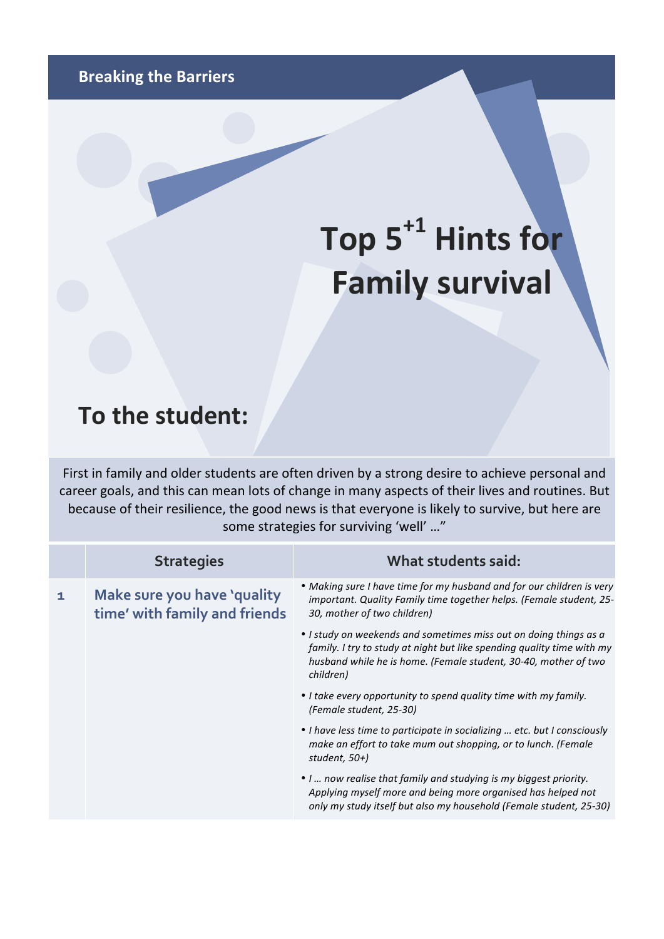## Top 5<sup>+1</sup> Hints for **Family survival**

## **To the student:**

First in family and older students are often driven by a strong desire to achieve personal and career goals, and this can mean lots of change in many aspects of their lives and routines. But because of their resilience, the good news is that everyone is likely to survive, but here are some strategies for surviving 'well' ..."

| <b>Strategies</b>                                            | What students said:                                                                                                                                                                                                         |
|--------------------------------------------------------------|-----------------------------------------------------------------------------------------------------------------------------------------------------------------------------------------------------------------------------|
| Make sure you have 'quality<br>time' with family and friends | • Making sure I have time for my husband and for our children is very<br>important. Quality Family time together helps. (Female student, 25-<br>30, mother of two children)                                                 |
|                                                              | • I study on weekends and sometimes miss out on doing things as a<br>family. I try to study at night but like spending quality time with my<br>husband while he is home. (Female student, 30-40, mother of two<br>children) |
|                                                              | • I take every opportunity to spend quality time with my family.<br>(Female student, 25-30)                                                                                                                                 |
|                                                              | • I have less time to participate in socializing  etc. but I consciously<br>make an effort to take mum out shopping, or to lunch. (Female<br>student, $50+$ )                                                               |
|                                                              | • I  now realise that family and studying is my biggest priority.<br>Applying myself more and being more organised has helped not<br>only my study itself but also my household (Female student, 25-30)                     |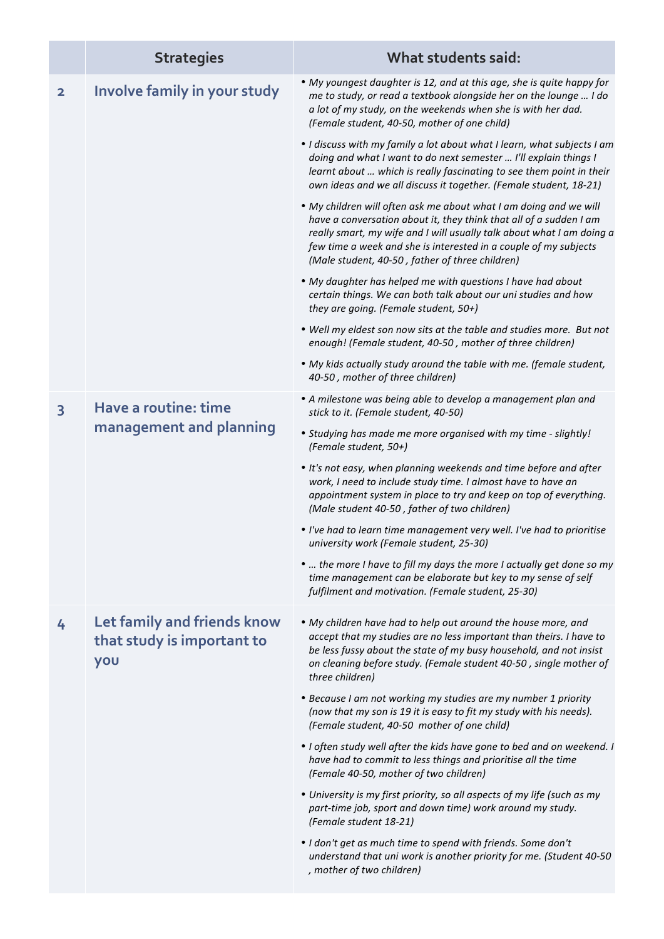|                         | <b>Strategies</b>                                                | What students said:                                                                                                                                                                                                                                                                                                                     |
|-------------------------|------------------------------------------------------------------|-----------------------------------------------------------------------------------------------------------------------------------------------------------------------------------------------------------------------------------------------------------------------------------------------------------------------------------------|
| $\overline{\mathbf{2}}$ | Involve family in your study                                     | • My youngest daughter is 12, and at this age, she is quite happy for<br>me to study, or read a textbook alongside her on the lounge  I do<br>a lot of my study, on the weekends when she is with her dad.<br>(Female student, 40-50, mother of one child)                                                                              |
|                         |                                                                  | • I discuss with my family a lot about what I learn, what subjects I am<br>doing and what I want to do next semester  I'll explain things I<br>learnt about  which is really fascinating to see them point in their<br>own ideas and we all discuss it together. (Female student, 18-21)                                                |
|                         |                                                                  | • My children will often ask me about what I am doing and we will<br>have a conversation about it, they think that all of a sudden I am<br>really smart, my wife and I will usually talk about what I am doing a<br>few time a week and she is interested in a couple of my subjects<br>(Male student, 40-50, father of three children) |
|                         |                                                                  | • My daughter has helped me with questions I have had about<br>certain things. We can both talk about our uni studies and how<br>they are going. (Female student, 50+)                                                                                                                                                                  |
|                         |                                                                  | . Well my eldest son now sits at the table and studies more. But not<br>enough! (Female student, 40-50, mother of three children)                                                                                                                                                                                                       |
|                         |                                                                  | • My kids actually study around the table with me. (female student,<br>40-50, mother of three children)                                                                                                                                                                                                                                 |
| 3                       | Have a routine: time<br>management and planning                  | • A milestone was being able to develop a management plan and<br>stick to it. (Female student, 40-50)                                                                                                                                                                                                                                   |
|                         |                                                                  | • Studying has made me more organised with my time - slightly!<br>(Female student, 50+)                                                                                                                                                                                                                                                 |
|                         |                                                                  | • It's not easy, when planning weekends and time before and after<br>work, I need to include study time. I almost have to have an<br>appointment system in place to try and keep on top of everything.<br>(Male student 40-50, father of two children)                                                                                  |
|                         |                                                                  | . I've had to learn time management very well. I've had to prioritise<br>university work (Female student, 25-30)                                                                                                                                                                                                                        |
|                         |                                                                  | •  the more I have to fill my days the more I actually get done so my<br>time management can be elaborate but key to my sense of self<br>fulfilment and motivation. (Female student, 25-30)                                                                                                                                             |
| 4                       | Let family and friends know<br>that study is important to<br>you | • My children have had to help out around the house more, and<br>accept that my studies are no less important than theirs. I have to<br>be less fussy about the state of my busy household, and not insist<br>on cleaning before study. (Female student 40-50, single mother of<br>three children)                                      |
|                         |                                                                  | • Because I am not working my studies are my number 1 priority<br>(now that my son is 19 it is easy to fit my study with his needs).<br>(Female student, 40-50 mother of one child)                                                                                                                                                     |
|                         |                                                                  | • I often study well after the kids have gone to bed and on weekend. I<br>have had to commit to less things and prioritise all the time<br>(Female 40-50, mother of two children)                                                                                                                                                       |
|                         |                                                                  | • University is my first priority, so all aspects of my life (such as my<br>part-time job, sport and down time) work around my study.<br>(Female student 18-21)                                                                                                                                                                         |
|                         |                                                                  | • I don't get as much time to spend with friends. Some don't<br>understand that uni work is another priority for me. (Student 40-50<br>, mother of two children)                                                                                                                                                                        |